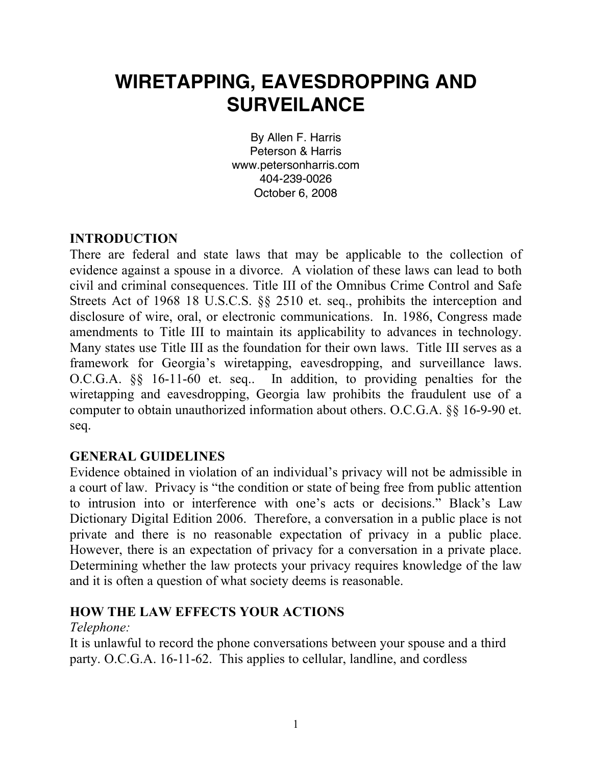# **WIRETAPPING, EAVESDROPPING AND SURVEILANCE**

By Allen F. Harris Peterson & Harris www.petersonharris.com 404-239-0026 October 6, 2008

#### **INTRODUCTION**

There are federal and state laws that may be applicable to the collection of evidence against a spouse in a divorce. A violation of these laws can lead to both civil and criminal consequences. Title III of the Omnibus Crime Control and Safe Streets Act of 1968 18 U.S.C.S. §§ 2510 et. seq., prohibits the interception and disclosure of wire, oral, or electronic communications. In. 1986, Congress made amendments to Title III to maintain its applicability to advances in technology. Many states use Title III as the foundation for their own laws. Title III serves as a framework for Georgia's wiretapping, eavesdropping, and surveillance laws. O.C.G.A. §§ 16-11-60 et. seq.. In addition, to providing penalties for the wiretapping and eavesdropping, Georgia law prohibits the fraudulent use of a computer to obtain unauthorized information about others. O.C.G.A. §§ 16-9-90 et. seq.

#### **GENERAL GUIDELINES**

Evidence obtained in violation of an individual's privacy will not be admissible in a court of law. Privacy is "the condition or state of being free from public attention to intrusion into or interference with one's acts or decisions." Black's Law Dictionary Digital Edition 2006. Therefore, a conversation in a public place is not private and there is no reasonable expectation of privacy in a public place. However, there is an expectation of privacy for a conversation in a private place. Determining whether the law protects your privacy requires knowledge of the law and it is often a question of what society deems is reasonable.

#### **HOW THE LAW EFFECTS YOUR ACTIONS**

#### *Telephone:*

It is unlawful to record the phone conversations between your spouse and a third party. O.C.G.A. 16-11-62. This applies to cellular, landline, and cordless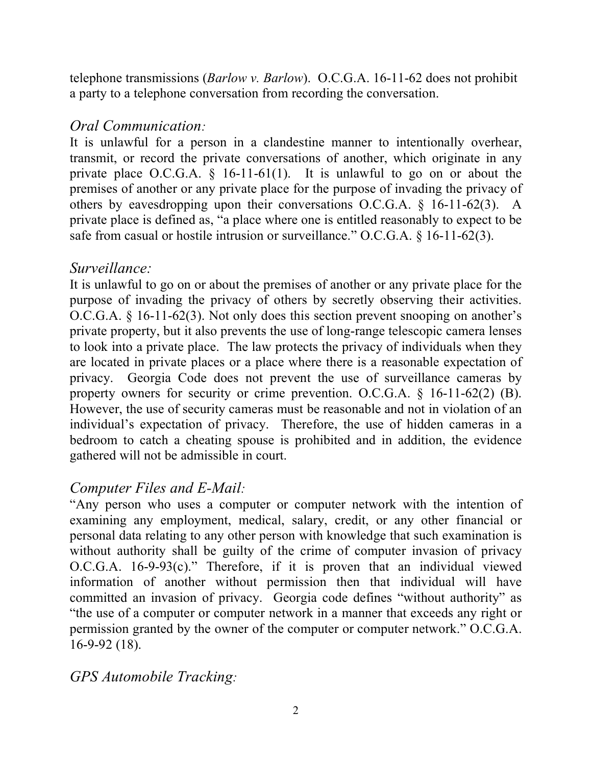telephone transmissions (*Barlow v. Barlow*). O.C.G.A. 16-11-62 does not prohibit a party to a telephone conversation from recording the conversation.

## *Oral Communication:*

It is unlawful for a person in a clandestine manner to intentionally overhear, transmit, or record the private conversations of another, which originate in any private place O.C.G.A. § 16-11-61(1). It is unlawful to go on or about the premises of another or any private place for the purpose of invading the privacy of others by eavesdropping upon their conversations O.C.G.A. § 16-11-62(3). A private place is defined as, "a place where one is entitled reasonably to expect to be safe from casual or hostile intrusion or surveillance." O.C.G.A. § 16-11-62(3).

## *Surveillance:*

It is unlawful to go on or about the premises of another or any private place for the purpose of invading the privacy of others by secretly observing their activities. O.C.G.A. § 16-11-62(3). Not only does this section prevent snooping on another's private property, but it also prevents the use of long-range telescopic camera lenses to look into a private place. The law protects the privacy of individuals when they are located in private places or a place where there is a reasonable expectation of privacy. Georgia Code does not prevent the use of surveillance cameras by property owners for security or crime prevention. O.C.G.A. § 16-11-62(2) (B). However, the use of security cameras must be reasonable and not in violation of an individual's expectation of privacy. Therefore, the use of hidden cameras in a bedroom to catch a cheating spouse is prohibited and in addition, the evidence gathered will not be admissible in court.

## *Computer Files and E-Mail:*

"Any person who uses a computer or computer network with the intention of examining any employment, medical, salary, credit, or any other financial or personal data relating to any other person with knowledge that such examination is without authority shall be guilty of the crime of computer invasion of privacy O.C.G.A. 16-9-93(c)." Therefore, if it is proven that an individual viewed information of another without permission then that individual will have committed an invasion of privacy. Georgia code defines "without authority" as "the use of a computer or computer network in a manner that exceeds any right or permission granted by the owner of the computer or computer network." O.C.G.A. 16-9-92 (18).

## *GPS Automobile Tracking:*